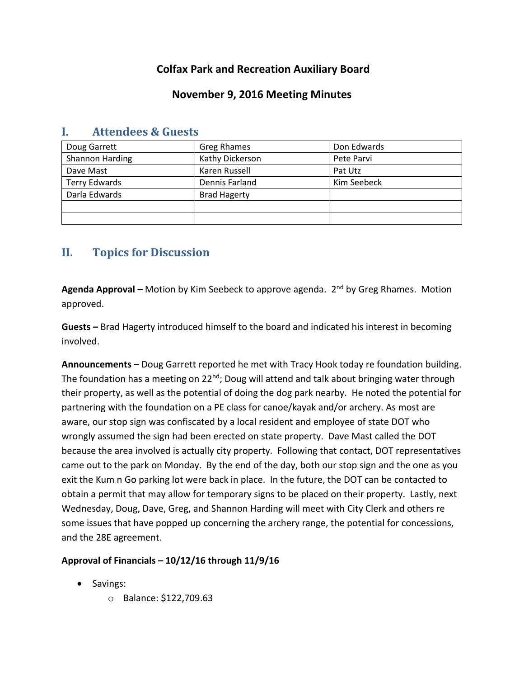# **Colfax Park and Recreation Auxiliary Board**

#### **November 9, 2016 Meeting Minutes**

| Doug Garrett           | <b>Greg Rhames</b>  | Don Edwards |
|------------------------|---------------------|-------------|
| <b>Shannon Harding</b> | Kathy Dickerson     | Pete Parvi  |
| Dave Mast              | Karen Russell       | Pat Utz     |
| <b>Terry Edwards</b>   | Dennis Farland      | Kim Seebeck |
| Darla Edwards          | <b>Brad Hagerty</b> |             |
|                        |                     |             |
|                        |                     |             |

### **I. Attendees & Guests**

# **II. Topics for Discussion**

**Agenda Approval –** Motion by Kim Seebeck to approve agenda. 2nd by Greg Rhames. Motion approved.

**Guests –** Brad Hagerty introduced himself to the board and indicated his interest in becoming involved.

**Announcements –** Doug Garrett reported he met with Tracy Hook today re foundation building. The foundation has a meeting on  $22^{nd}$ ; Doug will attend and talk about bringing water through their property, as well as the potential of doing the dog park nearby. He noted the potential for partnering with the foundation on a PE class for canoe/kayak and/or archery. As most are aware, our stop sign was confiscated by a local resident and employee of state DOT who wrongly assumed the sign had been erected on state property. Dave Mast called the DOT because the area involved is actually city property. Following that contact, DOT representatives came out to the park on Monday. By the end of the day, both our stop sign and the one as you exit the Kum n Go parking lot were back in place. In the future, the DOT can be contacted to obtain a permit that may allow for temporary signs to be placed on their property. Lastly, next Wednesday, Doug, Dave, Greg, and Shannon Harding will meet with City Clerk and others re some issues that have popped up concerning the archery range, the potential for concessions, and the 28E agreement.

#### **Approval of Financials – 10/12/16 through 11/9/16**

- Savings:
	- o Balance: \$122,709.63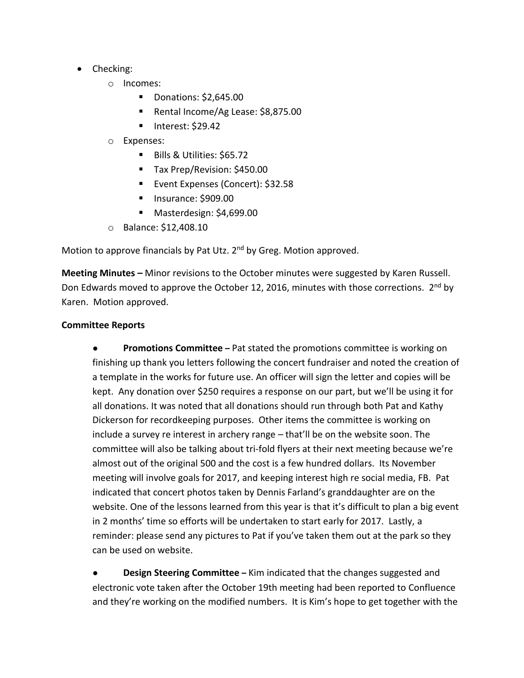- Checking:
	- o Incomes:
		- Donations: \$2,645.00
		- Rental Income/Ag Lease: \$8,875.00
		- $\blacksquare$  Interest: \$29.42
	- o Expenses:
		- Bills & Utilities: \$65.72
		- Tax Prep/Revision: \$450.00
		- **Event Expenses (Concert): \$32.58**
		- **Insurance: \$909.00**
		- Masterdesign: \$4,699.00
	- o Balance: \$12,408.10

Motion to approve financials by Pat Utz. 2<sup>nd</sup> by Greg. Motion approved.

**Meeting Minutes –** Minor revisions to the October minutes were suggested by Karen Russell. Don Edwards moved to approve the October 12, 2016, minutes with those corrections. 2<sup>nd</sup> by Karen. Motion approved.

#### **Committee Reports**

● **Promotions Committee –** Pat stated the promotions committee is working on finishing up thank you letters following the concert fundraiser and noted the creation of a template in the works for future use. An officer will sign the letter and copies will be kept. Any donation over \$250 requires a response on our part, but we'll be using it for all donations. It was noted that all donations should run through both Pat and Kathy Dickerson for recordkeeping purposes. Other items the committee is working on include a survey re interest in archery range – that'll be on the website soon. The committee will also be talking about tri-fold flyers at their next meeting because we're almost out of the original 500 and the cost is a few hundred dollars. Its November meeting will involve goals for 2017, and keeping interest high re social media, FB. Pat indicated that concert photos taken by Dennis Farland's granddaughter are on the website. One of the lessons learned from this year is that it's difficult to plan a big event in 2 months' time so efforts will be undertaken to start early for 2017. Lastly, a reminder: please send any pictures to Pat if you've taken them out at the park so they can be used on website.

**Design Steering Committee** – Kim indicated that the changes suggested and electronic vote taken after the October 19th meeting had been reported to Confluence and they're working on the modified numbers. It is Kim's hope to get together with the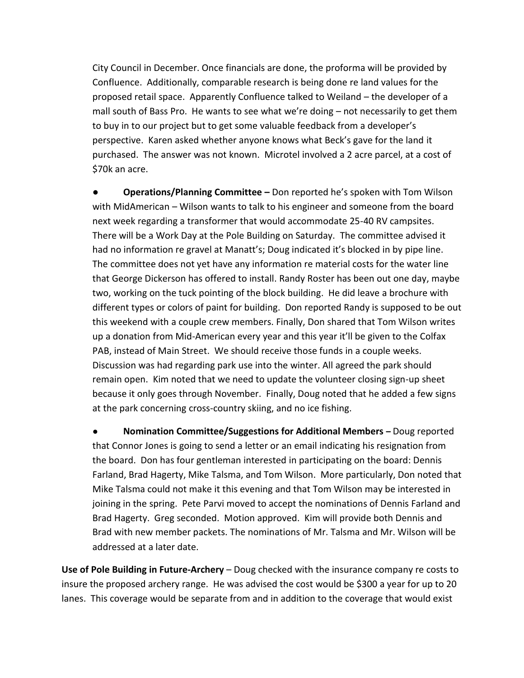City Council in December. Once financials are done, the proforma will be provided by Confluence. Additionally, comparable research is being done re land values for the proposed retail space. Apparently Confluence talked to Weiland – the developer of a mall south of Bass Pro. He wants to see what we're doing – not necessarily to get them to buy in to our project but to get some valuable feedback from a developer's perspective. Karen asked whether anyone knows what Beck's gave for the land it purchased. The answer was not known. Microtel involved a 2 acre parcel, at a cost of \$70k an acre.

**● Operations/Planning Committee –** Don reported he's spoken with Tom Wilson with MidAmerican – Wilson wants to talk to his engineer and someone from the board next week regarding a transformer that would accommodate 25-40 RV campsites. There will be a Work Day at the Pole Building on Saturday. The committee advised it had no information re gravel at Manatt's; Doug indicated it's blocked in by pipe line. The committee does not yet have any information re material costs for the water line that George Dickerson has offered to install. Randy Roster has been out one day, maybe two, working on the tuck pointing of the block building. He did leave a brochure with different types or colors of paint for building. Don reported Randy is supposed to be out this weekend with a couple crew members. Finally, Don shared that Tom Wilson writes up a donation from Mid-American every year and this year it'll be given to the Colfax PAB, instead of Main Street. We should receive those funds in a couple weeks. Discussion was had regarding park use into the winter. All agreed the park should remain open. Kim noted that we need to update the volunteer closing sign-up sheet because it only goes through November. Finally, Doug noted that he added a few signs at the park concerning cross-country skiing, and no ice fishing.

● **Nomination Committee/Suggestions for Additional Members –** Doug reported that Connor Jones is going to send a letter or an email indicating his resignation from the board. Don has four gentleman interested in participating on the board: Dennis Farland, Brad Hagerty, Mike Talsma, and Tom Wilson. More particularly, Don noted that Mike Talsma could not make it this evening and that Tom Wilson may be interested in joining in the spring. Pete Parvi moved to accept the nominations of Dennis Farland and Brad Hagerty. Greg seconded. Motion approved. Kim will provide both Dennis and Brad with new member packets. The nominations of Mr. Talsma and Mr. Wilson will be addressed at a later date.

**Use of Pole Building in Future-Archery** – Doug checked with the insurance company re costs to insure the proposed archery range. He was advised the cost would be \$300 a year for up to 20 lanes. This coverage would be separate from and in addition to the coverage that would exist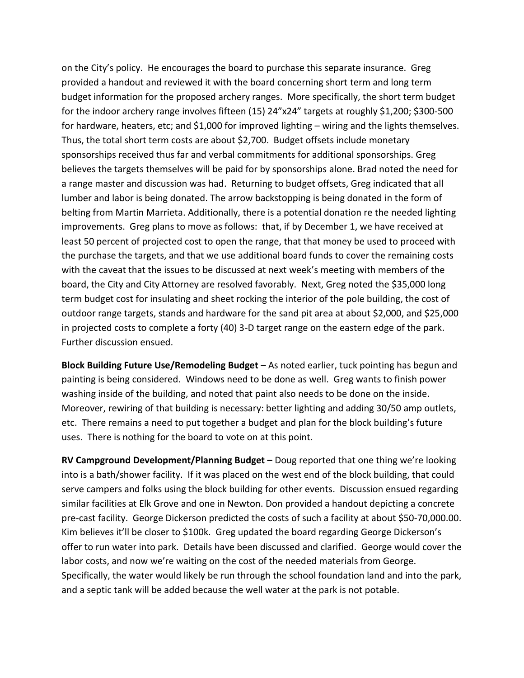on the City's policy. He encourages the board to purchase this separate insurance. Greg provided a handout and reviewed it with the board concerning short term and long term budget information for the proposed archery ranges. More specifically, the short term budget for the indoor archery range involves fifteen (15) 24"x24" targets at roughly \$1,200; \$300-500 for hardware, heaters, etc; and \$1,000 for improved lighting – wiring and the lights themselves. Thus, the total short term costs are about \$2,700. Budget offsets include monetary sponsorships received thus far and verbal commitments for additional sponsorships. Greg believes the targets themselves will be paid for by sponsorships alone. Brad noted the need for a range master and discussion was had. Returning to budget offsets, Greg indicated that all lumber and labor is being donated. The arrow backstopping is being donated in the form of belting from Martin Marrieta. Additionally, there is a potential donation re the needed lighting improvements. Greg plans to move as follows: that, if by December 1, we have received at least 50 percent of projected cost to open the range, that that money be used to proceed with the purchase the targets, and that we use additional board funds to cover the remaining costs with the caveat that the issues to be discussed at next week's meeting with members of the board, the City and City Attorney are resolved favorably. Next, Greg noted the \$35,000 long term budget cost for insulating and sheet rocking the interior of the pole building, the cost of outdoor range targets, stands and hardware for the sand pit area at about \$2,000, and \$25,000 in projected costs to complete a forty (40) 3-D target range on the eastern edge of the park. Further discussion ensued.

**Block Building Future Use/Remodeling Budget** – As noted earlier, tuck pointing has begun and painting is being considered. Windows need to be done as well. Greg wants to finish power washing inside of the building, and noted that paint also needs to be done on the inside. Moreover, rewiring of that building is necessary: better lighting and adding 30/50 amp outlets, etc. There remains a need to put together a budget and plan for the block building's future uses. There is nothing for the board to vote on at this point.

**RV Campground Development/Planning Budget –** Doug reported that one thing we're looking into is a bath/shower facility. If it was placed on the west end of the block building, that could serve campers and folks using the block building for other events. Discussion ensued regarding similar facilities at Elk Grove and one in Newton. Don provided a handout depicting a concrete pre-cast facility. George Dickerson predicted the costs of such a facility at about \$50-70,000.00. Kim believes it'll be closer to \$100k. Greg updated the board regarding George Dickerson's offer to run water into park. Details have been discussed and clarified. George would cover the labor costs, and now we're waiting on the cost of the needed materials from George. Specifically, the water would likely be run through the school foundation land and into the park, and a septic tank will be added because the well water at the park is not potable.